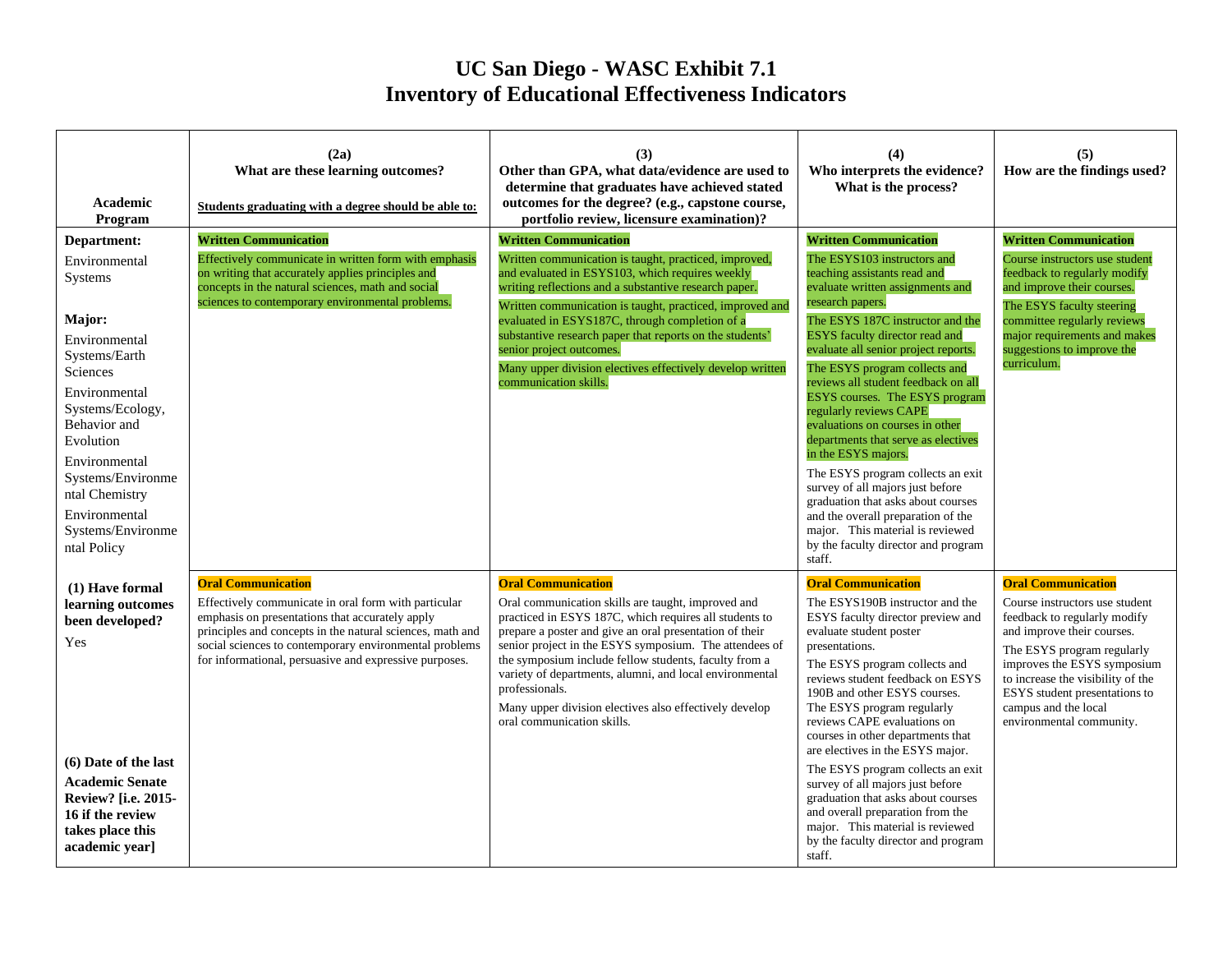## **UC San Diego - WASC Exhibit 7.1 Inventory of Educational Effectiveness Indicators**

| Academic<br>Program                                                                                                                                                                                                                                                            | (2a)<br>What are these learning outcomes?<br>Students graduating with a degree should be able to:                                                                                                                                                                                                                     | (3)<br>Other than GPA, what data/evidence are used to<br>determine that graduates have achieved stated<br>outcomes for the degree? (e.g., capstone course,<br>portfolio review, licensure examination)?                                                                                                                                                                                                                                                                                       | (4)<br>Who interprets the evidence?<br>What is the process?                                                                                                                                                                                                                                                                                                                                                                                                                                                                                                                                                                                                                                                                                                    | (5)<br>How are the findings used?                                                                                                                                                                                                                                                                                |
|--------------------------------------------------------------------------------------------------------------------------------------------------------------------------------------------------------------------------------------------------------------------------------|-----------------------------------------------------------------------------------------------------------------------------------------------------------------------------------------------------------------------------------------------------------------------------------------------------------------------|-----------------------------------------------------------------------------------------------------------------------------------------------------------------------------------------------------------------------------------------------------------------------------------------------------------------------------------------------------------------------------------------------------------------------------------------------------------------------------------------------|----------------------------------------------------------------------------------------------------------------------------------------------------------------------------------------------------------------------------------------------------------------------------------------------------------------------------------------------------------------------------------------------------------------------------------------------------------------------------------------------------------------------------------------------------------------------------------------------------------------------------------------------------------------------------------------------------------------------------------------------------------------|------------------------------------------------------------------------------------------------------------------------------------------------------------------------------------------------------------------------------------------------------------------------------------------------------------------|
| Department:<br>Environmental<br>Systems<br>Major:<br>Environmental<br>Systems/Earth<br>Sciences<br>Environmental<br>Systems/Ecology,<br>Behavior and<br>Evolution<br>Environmental<br>Systems/Environme<br>ntal Chemistry<br>Environmental<br>Systems/Environme<br>ntal Policy | <b>Written Communication</b><br>Effectively communicate in written form with emphasis<br>on writing that accurately applies principles and<br>concepts in the natural sciences, math and social<br>sciences to contemporary environmental problems.                                                                   | <b>Written Communication</b><br>Written communication is taught, practiced, improved,<br>and evaluated in ESYS103, which requires weekly<br>writing reflections and a substantive research paper.<br>Written communication is taught, practiced, improved and<br>evaluated in ESYS187C, through completion of a<br>substantive research paper that reports on the students'<br>senior project outcomes.<br>Many upper division electives effectively develop written<br>communication skills. | <b>Written Communication</b><br>The ESYS103 instructors and<br>teaching assistants read and<br>evaluate written assignments and<br>research papers.<br>The ESYS 187C instructor and the<br><b>ESYS</b> faculty director read and<br>evaluate all senior project reports.<br>The ESYS program collects and<br>reviews all student feedback on all<br><b>ESYS</b> courses. The ESYS program<br>regularly reviews CAPE<br>evaluations on courses in other<br>departments that serve as electives<br>in the ESYS majors.<br>The ESYS program collects an exit<br>survey of all majors just before<br>graduation that asks about courses<br>and the overall preparation of the<br>major. This material is reviewed<br>by the faculty director and program<br>staff. | <b>Written Communication</b><br>Course instructors use student<br>feedback to regularly modify<br>and improve their courses.<br>The ESYS faculty steering<br>committee regularly reviews<br>major requirements and makes<br>suggestions to improve the<br>curriculum.                                            |
| (1) Have formal<br>learning outcomes<br>been developed?<br>Yes<br>(6) Date of the last<br><b>Academic Senate</b><br>Review? [i.e. 2015-<br>16 if the review<br>takes place this<br>academic year]                                                                              | <b>Oral Communication</b><br>Effectively communicate in oral form with particular<br>emphasis on presentations that accurately apply<br>principles and concepts in the natural sciences, math and<br>social sciences to contemporary environmental problems<br>for informational, persuasive and expressive purposes. | <b>Oral Communication</b><br>Oral communication skills are taught, improved and<br>practiced in ESYS 187C, which requires all students to<br>prepare a poster and give an oral presentation of their<br>senior project in the ESYS symposium. The attendees of<br>the symposium include fellow students, faculty from a<br>variety of departments, alumni, and local environmental<br>professionals.<br>Many upper division electives also effectively develop<br>oral communication skills.  | <b>Oral Communication</b><br>The ESYS190B instructor and the<br>ESYS faculty director preview and<br>evaluate student poster<br>presentations.<br>The ESYS program collects and<br>reviews student feedback on ESYS<br>190B and other ESYS courses.<br>The ESYS program regularly<br>reviews CAPE evaluations on<br>courses in other departments that<br>are electives in the ESYS major.<br>The ESYS program collects an exit<br>survey of all majors just before<br>graduation that asks about courses<br>and overall preparation from the<br>major. This material is reviewed<br>by the faculty director and program<br>staff.                                                                                                                              | <b>Oral Communication</b><br>Course instructors use student<br>feedback to regularly modify<br>and improve their courses.<br>The ESYS program regularly<br>improves the ESYS symposium<br>to increase the visibility of the<br>ESYS student presentations to<br>campus and the local<br>environmental community. |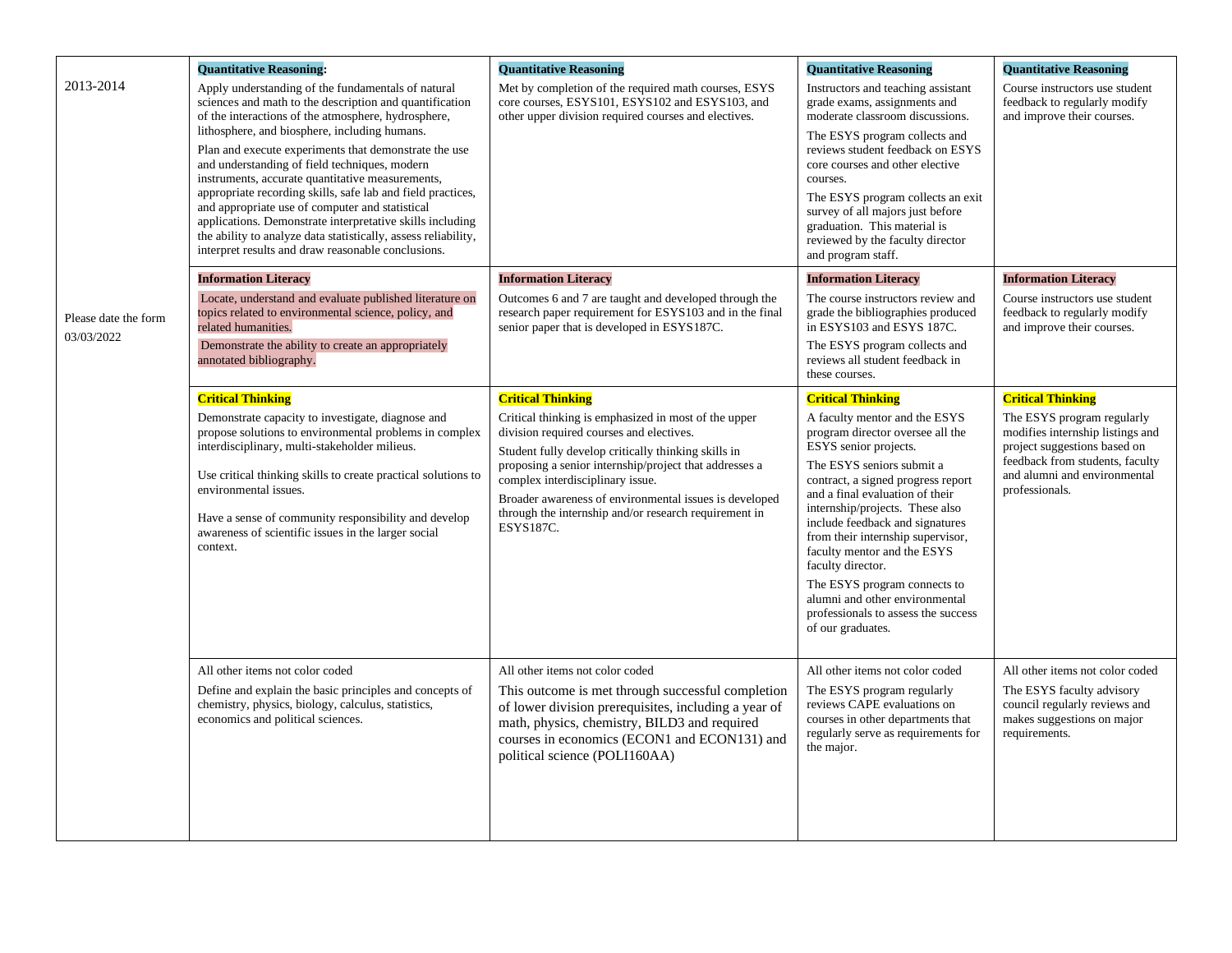| 2013-2014                          | <b>Ouantitative Reasoning:</b><br>Apply understanding of the fundamentals of natural<br>sciences and math to the description and quantification<br>of the interactions of the atmosphere, hydrosphere,<br>lithosphere, and biosphere, including humans.<br>Plan and execute experiments that demonstrate the use<br>and understanding of field techniques, modern<br>instruments, accurate quantitative measurements,<br>appropriate recording skills, safe lab and field practices,<br>and appropriate use of computer and statistical<br>applications. Demonstrate interpretative skills including<br>the ability to analyze data statistically, assess reliability,<br>interpret results and draw reasonable conclusions. | <b>Ouantitative Reasoning</b><br>Met by completion of the required math courses, ESYS<br>core courses, ESYS101, ESYS102 and ESYS103, and<br>other upper division required courses and electives.                                                                                                                                                                                                                  | <b>Ouantitative Reasoning</b><br>Instructors and teaching assistant<br>grade exams, assignments and<br>moderate classroom discussions.<br>The ESYS program collects and<br>reviews student feedback on ESYS<br>core courses and other elective<br>courses.<br>The ESYS program collects an exit<br>survey of all majors just before<br>graduation. This material is<br>reviewed by the faculty director<br>and program staff.                                                                                             | <b>Ouantitative Reasoning</b><br>Course instructors use student<br>feedback to regularly modify<br>and improve their courses.                                                                                   |
|------------------------------------|------------------------------------------------------------------------------------------------------------------------------------------------------------------------------------------------------------------------------------------------------------------------------------------------------------------------------------------------------------------------------------------------------------------------------------------------------------------------------------------------------------------------------------------------------------------------------------------------------------------------------------------------------------------------------------------------------------------------------|-------------------------------------------------------------------------------------------------------------------------------------------------------------------------------------------------------------------------------------------------------------------------------------------------------------------------------------------------------------------------------------------------------------------|---------------------------------------------------------------------------------------------------------------------------------------------------------------------------------------------------------------------------------------------------------------------------------------------------------------------------------------------------------------------------------------------------------------------------------------------------------------------------------------------------------------------------|-----------------------------------------------------------------------------------------------------------------------------------------------------------------------------------------------------------------|
| Please date the form<br>03/03/2022 | <b>Information Literacy</b><br>Locate, understand and evaluate published literature on<br>topics related to environmental science, policy, and<br>related humanities.<br>Demonstrate the ability to create an appropriately<br>annotated bibliography.                                                                                                                                                                                                                                                                                                                                                                                                                                                                       | <b>Information Literacy</b><br>Outcomes 6 and 7 are taught and developed through the<br>research paper requirement for ESYS103 and in the final<br>senior paper that is developed in ESYS187C.                                                                                                                                                                                                                    | <b>Information Literacy</b><br>The course instructors review and<br>grade the bibliographies produced<br>in ESYS103 and ESYS 187C.<br>The ESYS program collects and<br>reviews all student feedback in<br>these courses.                                                                                                                                                                                                                                                                                                  | <b>Information Literacy</b><br>Course instructors use student<br>feedback to regularly modify<br>and improve their courses.                                                                                     |
|                                    | <b>Critical Thinking</b><br>Demonstrate capacity to investigate, diagnose and<br>propose solutions to environmental problems in complex<br>interdisciplinary, multi-stakeholder milieus.<br>Use critical thinking skills to create practical solutions to<br>environmental issues.<br>Have a sense of community responsibility and develop<br>awareness of scientific issues in the larger social<br>context.                                                                                                                                                                                                                                                                                                                | <b>Critical Thinking</b><br>Critical thinking is emphasized in most of the upper<br>division required courses and electives.<br>Student fully develop critically thinking skills in<br>proposing a senior internship/project that addresses a<br>complex interdisciplinary issue.<br>Broader awareness of environmental issues is developed<br>through the internship and/or research requirement in<br>ESYS187C. | <b>Critical Thinking</b><br>A faculty mentor and the ESYS<br>program director oversee all the<br>ESYS senior projects.<br>The ESYS seniors submit a<br>contract, a signed progress report<br>and a final evaluation of their<br>internship/projects. These also<br>include feedback and signatures<br>from their internship supervisor,<br>faculty mentor and the ESYS<br>faculty director.<br>The ESYS program connects to<br>alumni and other environmental<br>professionals to assess the success<br>of our graduates. | <b>Critical Thinking</b><br>The ESYS program regularly<br>modifies internship listings and<br>project suggestions based on<br>feedback from students, faculty<br>and alumni and environmental<br>professionals. |
|                                    | All other items not color coded<br>Define and explain the basic principles and concepts of<br>chemistry, physics, biology, calculus, statistics,<br>economics and political sciences.                                                                                                                                                                                                                                                                                                                                                                                                                                                                                                                                        | All other items not color coded<br>This outcome is met through successful completion<br>of lower division prerequisites, including a year of<br>math, physics, chemistry, BILD3 and required<br>courses in economics (ECON1 and ECON131) and<br>political science (POLI160AA)                                                                                                                                     | All other items not color coded<br>The ESYS program regularly<br>reviews CAPE evaluations on<br>courses in other departments that<br>regularly serve as requirements for<br>the major.                                                                                                                                                                                                                                                                                                                                    | All other items not color coded<br>The ESYS faculty advisory<br>council regularly reviews and<br>makes suggestions on major<br>requirements.                                                                    |